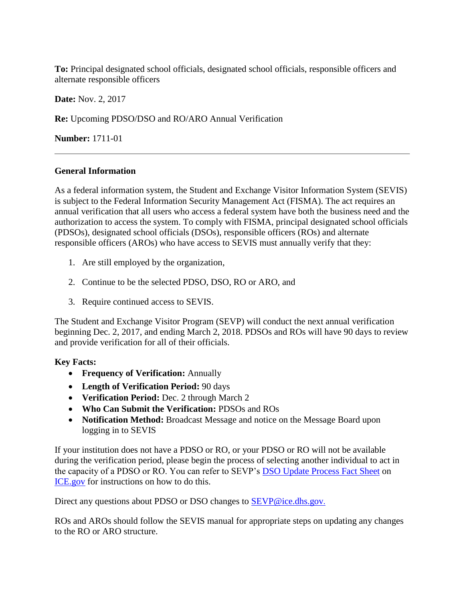**To:** Principal designated school officials, designated school officials, responsible officers and alternate responsible officers

**Date:** Nov. 2, 2017

**Re:** Upcoming PDSO/DSO and RO/ARO Annual Verification

**Number:** 1711-01

## **General Information**

As a federal information system, the Student and Exchange Visitor Information System (SEVIS) is subject to the Federal Information Security Management Act (FISMA). The act requires an annual verification that all users who access a federal system have both the business need and the authorization to access the system. To comply with FISMA, principal designated school officials (PDSOs), designated school officials (DSOs), responsible officers (ROs) and alternate responsible officers (AROs) who have access to SEVIS must annually verify that they:

- 1. Are still employed by the organization,
- 2. Continue to be the selected PDSO, DSO, RO or ARO, and
- 3. Require continued access to SEVIS.

The Student and Exchange Visitor Program (SEVP) will conduct the next annual verification beginning Dec. 2, 2017, and ending March 2, 2018. PDSOs and ROs will have 90 days to review and provide verification for all of their officials.

## **Key Facts:**

- **Frequency of Verification:** Annually
- **Length of Verification Period:** 90 days
- **Verification Period:** Dec. 2 through March 2
- **Who Can Submit the Verification:** PDSOs and ROs
- **Notification Method:** Broadcast Message and notice on the Message Board upon logging in to SEVIS

If your institution does not have a PDSO or RO, or your PDSO or RO will not be available during the verification period, please begin the process of selecting another individual to act in the capacity of a PDSO or RO. You can refer to SEVP's [DSO Update Process Fact](https://www.ice.gov/doclib/sevis/pdf/factSheetDsoSubmissions.pdf) Sheet on [ICE.gov](https://www.ice.gov/doclib/sevis/pdf/factSheetDsoSubmissions.pdf) for instructions on how to do this.

Direct any questions about PDSO or DSO changes to **SEVP@ice.dhs.gov.** 

ROs and AROs should follow the SEVIS manual for appropriate steps on updating any changes to the RO or ARO structure.